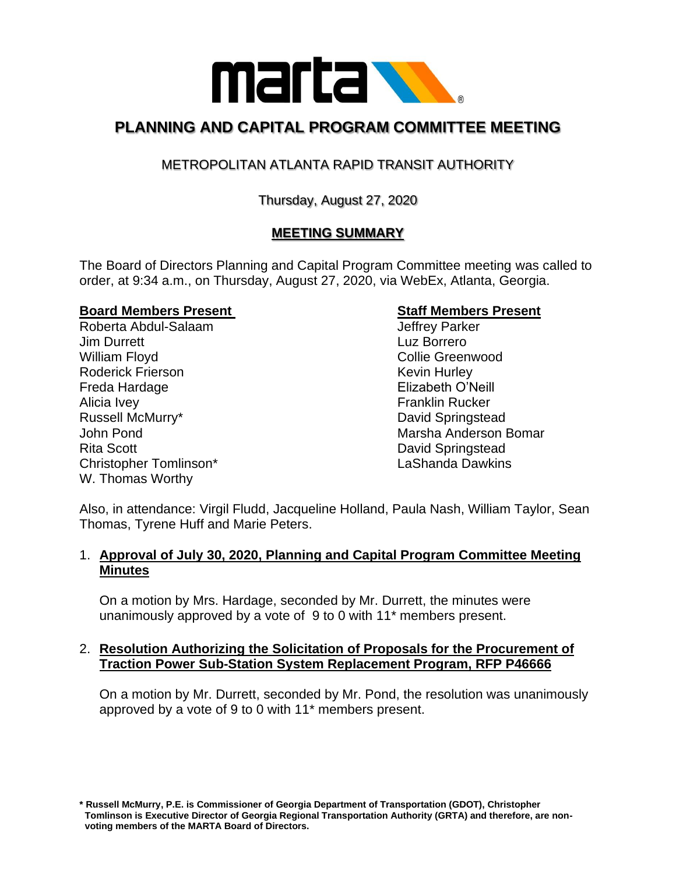

# **PLANNING AND CAPITAL PROGRAM COMMITTEE MEETING**

## METROPOLITAN ATLANTA RAPID TRANSIT AUTHORITY

## Thursday, August 27, 2020

## **MEETING SUMMARY**

The Board of Directors Planning and Capital Program Committee meeting was called to order, at 9:34 a.m., on Thursday, August 27, 2020, via WebEx, Atlanta, Georgia.

#### **Board Members Present Staff Members Present**

Roberta Abdul-Salaam and Jeffrey Parker **Jim Durrett** Luz Borrero William Floyd **Collie Greenwood** Collie Greenwood Roderick Frierson **Kevin Hurley** Kevin Hurley Freda Hardage Elizabeth O'Neill Alicia Ivey **Franklin** Rucker Russell McMurry\* **David Springstead** Rita Scott **David Springstead** Christopher Tomlinson\* LaShanda Dawkins W. Thomas Worthy

John Pond Marsha Anderson Bomar

Also, in attendance: Virgil Fludd, Jacqueline Holland, Paula Nash, William Taylor, Sean Thomas, Tyrene Huff and Marie Peters.

#### 1. **Approval of July 30, 2020, Planning and Capital Program Committee Meeting Minutes**

On a motion by Mrs. Hardage, seconded by Mr. Durrett, the minutes were unanimously approved by a vote of 9 to 0 with 11\* members present.

#### 2. **Resolution Authorizing the Solicitation of Proposals for the Procurement of Traction Power Sub-Station System Replacement Program, RFP P46666**

On a motion by Mr. Durrett, seconded by Mr. Pond, the resolution was unanimously approved by a vote of 9 to 0 with 11\* members present.

**\* Russell McMurry, P.E. is Commissioner of Georgia Department of Transportation (GDOT), Christopher Tomlinson is Executive Director of Georgia Regional Transportation Authority (GRTA) and therefore, are non voting members of the MARTA Board of Directors.**